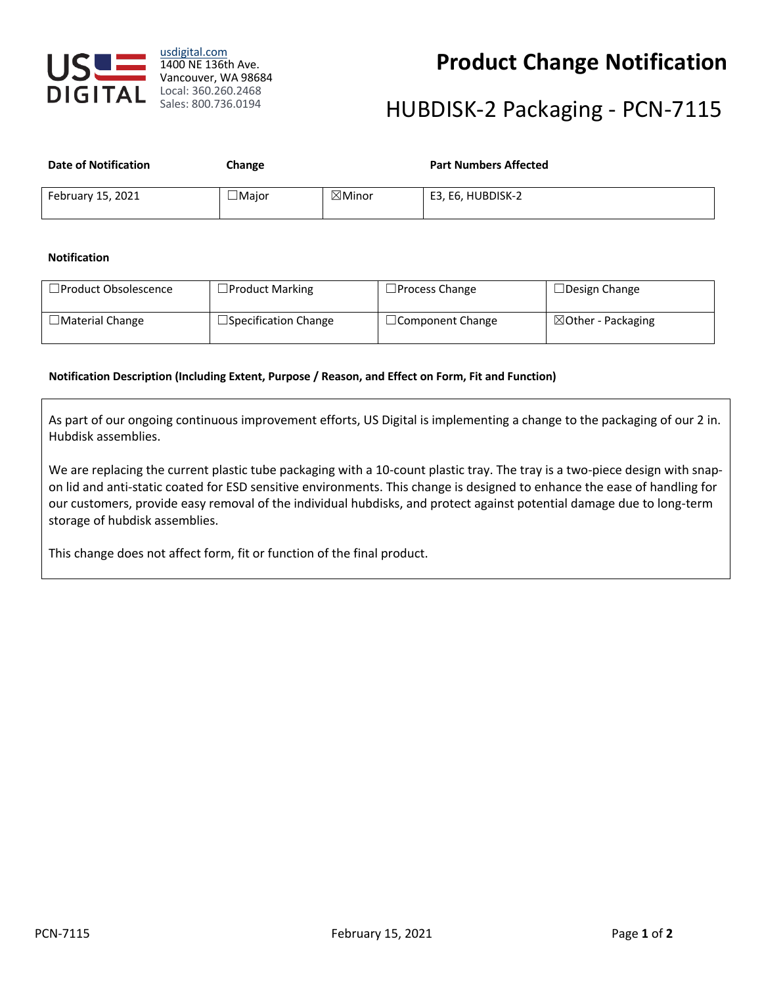

### **Product Change Notification**

# HUBDISK-2 Packaging - PCN-7115

| <b>Date of Notification</b> | Change       |                   | <b>Part Numbers Affected</b> |
|-----------------------------|--------------|-------------------|------------------------------|
| February 15, 2021           | $\Box$ Maior | $\boxtimes$ Minor | E3, E6, HUBDISK-2            |

### **Notification**

| $\Box$ Product Obsolescence | $\Box$ Product Marking      | $\Box$ Process Change   | $\Box$ Design Change          |
|-----------------------------|-----------------------------|-------------------------|-------------------------------|
| $\Box$ Material Change      | $\Box$ Specification Change | $\Box$ Component Change | $\boxtimes$ Other - Packaging |

### **Notification Description (Including Extent, Purpose / Reason, and Effect on Form, Fit and Function)**

As part of our ongoing continuous improvement efforts, US Digital is implementing a change to the packaging of our 2 in. Hubdisk assemblies.

We are replacing the current plastic tube packaging with a 10-count plastic tray. The tray is a two-piece design with snapon lid and anti-static coated for ESD sensitive environments. This change is designed to enhance the ease of handling for our customers, provide easy removal of the individual hubdisks, and protect against potential damage due to long-term storage of hubdisk assemblies.

This change does not affect form, fit or function of the final product.